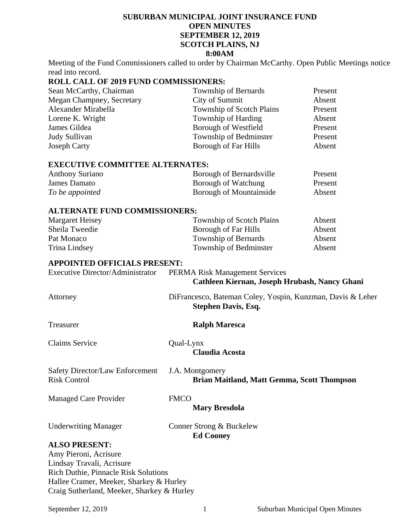# **SUBURBAN MUNICIPAL JOINT INSURANCE FUND OPEN MINUTES SEPTEMBER 12, 2019 SCOTCH PLAINS, NJ 8:00AM**

Meeting of the Fund Commissioners called to order by Chairman McCarthy. Open Public Meetings notice read into record.

# **ROLL CALL OF 2019 FUND COMMISSIONERS:**

| Sean McCarthy, Chairman   | Township of Bernards             | Present |
|---------------------------|----------------------------------|---------|
| Megan Champney, Secretary | City of Summit                   | Absent  |
| Alexander Mirabella       | <b>Township of Scotch Plains</b> | Present |
| Lorene K. Wright          | Township of Harding              | Absent  |
| James Gildea              | Borough of Westfield             | Present |
| Judy Sullivan             | Township of Bedminster           | Present |
| <b>Joseph Carty</b>       | Borough of Far Hills             | Absent  |

#### **EXECUTIVE COMMITTEE ALTERNATES:**

| <b>Anthony Suriano</b> | Borough of Bernardsville       | Present |
|------------------------|--------------------------------|---------|
| James Damato           | Borough of Watchung            | Present |
| To be appointed        | <b>Borough of Mountainside</b> | Absent  |

### **ALTERNATE FUND COMMISSIONERS:**

| Margaret Heisey | Township of Scotch Plains | Absent |
|-----------------|---------------------------|--------|
| Sheila Tweedie  | Borough of Far Hills      | Absent |
| Pat Monaco      | Township of Bernards      | Absent |
| Trina Lindsey   | Township of Bedminster    | Absent |

# **APPOINTED OFFICIALS PRESENT:**

Executive Director/Administrator PERMA Risk Management Services

# **Cathleen Kiernan, Joseph Hrubash, Nancy Ghani**

Attorney DiFrancesco, Bateman Coley, Yospin, Kunzman, Davis & Leher

Claims Service Qual-Lynx

Treasurer **Ralph Maresca** 

 **Stephen Davis, Esq.** 

 **Claudia Acosta** 

Safety Director/Law Enforcement J.A. Montgomery<br>Risk Control **Brian Ma**i

Brian Maitland, Matt Gemma, Scott Thompson

Managed Care Provider FMCO

**Mary Bresdola** 

Underwriting Manager Conner Strong & Buckelew

**Ed Cooney** 

# **ALSO PRESENT:**

Amy Pieroni, Acrisure Lindsay Travali, Acrisure Rich Duthie, Pinnacle Risk Solutions Hallee Cramer, Meeker, Sharkey & Hurley Craig Sutherland, Meeker, Sharkey & Hurley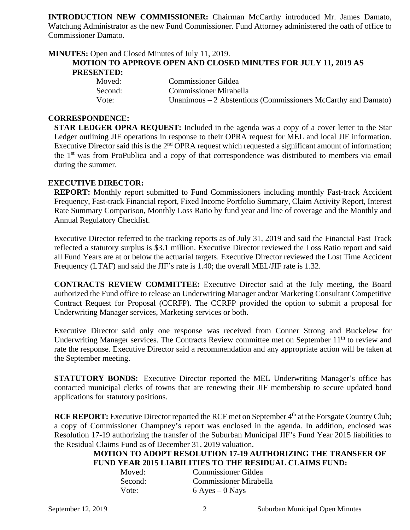**INTRODUCTION NEW COMMISSIONER:** Chairman McCarthy introduced Mr. James Damato, Watchung Administrator as the new Fund Commissioner. Fund Attorney administered the oath of office to Commissioner Damato.

| <b>MINUTES:</b> Open and Closed Minutes of July 11, 2019. |                                                                       |
|-----------------------------------------------------------|-----------------------------------------------------------------------|
|                                                           | <b>MOTION TO APPROVE OPEN AND CLOSED MINUTES FOR JULY 11, 2019 AS</b> |
| <b>PRESENTED:</b>                                         |                                                                       |
| $\mathbf{M}$ 1                                            | $\alpha$ $\cdots$ $\alpha$ <sup>11</sup>                              |

| Moved:  | Commissioner Gildea                                            |
|---------|----------------------------------------------------------------|
| Second: | <b>Commissioner Mirabella</b>                                  |
| Vote:   | Unanimous $-2$ Abstentions (Commissioners McCarthy and Damato) |

### **CORRESPONDENCE:**

**STAR LEDGER OPRA REQUEST:** Included in the agenda was a copy of a cover letter to the Star Ledger outlining JIF operations in response to their OPRA request for MEL and local JIF information. Executive Director said this is the  $2<sup>nd</sup>$  OPRA request which requested a significant amount of information; the 1st was from ProPublica and a copy of that correspondence was distributed to members via email during the summer.

## **EXECUTIVE DIRECTOR:**

**REPORT:** Monthly report submitted to Fund Commissioners including monthly Fast-track Accident Frequency, Fast-track Financial report, Fixed Income Portfolio Summary, Claim Activity Report, Interest Rate Summary Comparison, Monthly Loss Ratio by fund year and line of coverage and the Monthly and Annual Regulatory Checklist.

Executive Director referred to the tracking reports as of July 31, 2019 and said the Financial Fast Track reflected a statutory surplus is \$3.1 million. Executive Director reviewed the Loss Ratio report and said all Fund Years are at or below the actuarial targets. Executive Director reviewed the Lost Time Accident Frequency (LTAF) and said the JIF's rate is 1.40; the overall MEL/JIF rate is 1.32.

**CONTRACTS REVIEW COMMITTEE:** Executive Director said at the July meeting, the Board authorized the Fund office to release an Underwriting Manager and/or Marketing Consultant Competitive Contract Request for Proposal (CCRFP). The CCRFP provided the option to submit a proposal for Underwriting Manager services, Marketing services or both.

Executive Director said only one response was received from Conner Strong and Buckelew for Underwriting Manager services. The Contracts Review committee met on September 11<sup>th</sup> to review and rate the response. Executive Director said a recommendation and any appropriate action will be taken at the September meeting.

**STATUTORY BONDS:** Executive Director reported the MEL Underwriting Manager's office has contacted municipal clerks of towns that are renewing their JIF membership to secure updated bond applications for statutory positions.

**RCF REPORT:** Executive Director reported the RCF met on September 4<sup>th</sup> at the Forsgate Country Club; a copy of Commissioner Champney's report was enclosed in the agenda. In addition, enclosed was Resolution 17-19 authorizing the transfer of the Suburban Municipal JIF's Fund Year 2015 liabilities to the Residual Claims Fund as of December 31, 2019 valuation.

# **MOTION TO ADOPT RESOLUTION 17-19 AUTHORIZING THE TRANSFER OF FUND YEAR 2015 LIABILITIES TO THE RESIDUAL CLAIMS FUND:**

| Moved:  | <b>Commissioner Gildea</b>    |
|---------|-------------------------------|
| Second: | <b>Commissioner Mirabella</b> |
| Vote:   | $6$ Ayes $-0$ Nays            |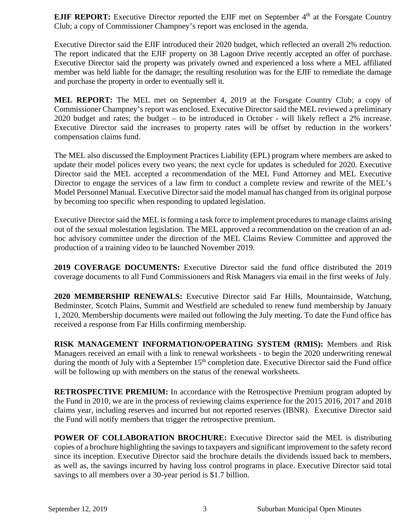**EJIF REPORT:** Executive Director reported the EJIF met on September 4<sup>th</sup> at the Forsgate Country Club; a copy of Commissioner Champney's report was enclosed in the agenda.

Executive Director said the EJIF introduced their 2020 budget, which reflected an overall 2% reduction. The report indicated that the EJIF property on 38 Lagoon Drive recently accepted an offer of purchase. Executive Director said the property was privately owned and experienced a loss where a MEL affiliated member was held liable for the damage; the resulting resolution was for the EJIF to remediate the damage and purchase the property in order to eventually sell it.

**MEL REPORT:** The MEL met on September 4, 2019 at the Forsgate Country Club; a copy of Commissioner Champney's report was enclosed. Executive Director said the MEL reviewed a preliminary 2020 budget and rates; the budget – to be introduced in October - will likely reflect a 2% increase. Executive Director said the increases to property rates will be offset by reduction in the workers' compensation claims fund.

The MEL also discussed the Employment Practices Liability (EPL) program where members are asked to update their model polices every two years; the next cycle for updates is scheduled for 2020. Executive Director said the MEL accepted a recommendation of the MEL Fund Attorney and MEL Executive Director to engage the services of a law firm to conduct a complete review and rewrite of the MEL's Model Personnel Manual. Executive Director said the model manual has changed from its original purpose by becoming too specific when responding to updated legislation.

Executive Director said the MEL is forming a task force to implement procedures to manage claims arising out of the sexual molestation legislation. The MEL approved a recommendation on the creation of an adhoc advisory committee under the direction of the MEL Claims Review Committee and approved the production of a training video to be launched November 2019.

**2019 COVERAGE DOCUMENTS:** Executive Director said the fund office distributed the 2019 coverage documents to all Fund Commissioners and Risk Managers via email in the first weeks of July.

**2020 MEMBERSHIP RENEWALS:** Executive Director said Far Hills, Mountainside, Watchung, Bedminster, Scotch Plains, Summit and Westfield are scheduled to renew fund membership by January 1, 2020. Membership documents were mailed out following the July meeting. To date the Fund office has received a response from Far Hills confirming membership.

**RISK MANAGEMENT INFORMATION/OPERATING SYSTEM (RMIS):** Members and Risk Managers received an email with a link to renewal worksheets - to begin the 2020 underwriting renewal during the month of July with a September  $15<sup>th</sup>$  completion date. Executive Director said the Fund office will be following up with members on the status of the renewal worksheets.

**RETROSPECTIVE PREMIUM:** In accordance with the Retrospective Premium program adopted by the Fund in 2010, we are in the process of reviewing claims experience for the 2015 2016, 2017 and 2018 claims year, including reserves and incurred but not reported reserves (IBNR). Executive Director said the Fund will notify members that trigger the retrospective premium.

**POWER OF COLLABORATION BROCHURE:** Executive Director said the MEL is distributing copies of a brochure highlighting the savings to taxpayers and significant improvement to the safety record since its inception. Executive Director said the brochure details the dividends issued back to members, as well as, the savings incurred by having loss control programs in place. Executive Director said total savings to all members over a 30-year period is \$1.7 billion.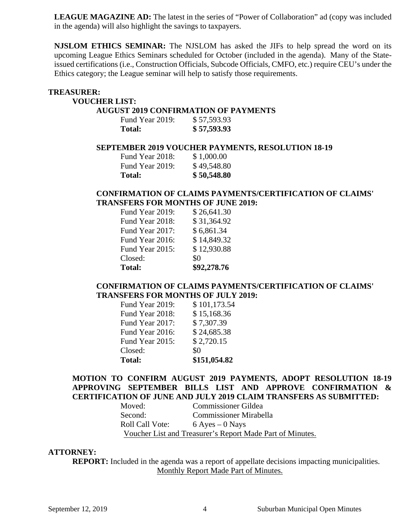LEAGUE MAGAZINE AD: The latest in the series of "Power of Collaboration" ad (copy was included in the agenda) will also highlight the savings to taxpayers.

**NJSLOM ETHICS SEMINAR:** The NJSLOM has asked the JIFs to help spread the word on its upcoming League Ethics Seminars scheduled for October (included in the agenda). Many of the Stateissued certifications (i.e., Construction Officials, Subcode Officials, CMFO, etc.) require CEU's under the Ethics category; the League seminar will help to satisfy those requirements.

#### **TREASURER:**

### **VOUCHER LIST:**

### **AUGUST 2019 CONFIRMATION OF PAYMENTS**

| Fund Year 2019: | \$57,593.93 |
|-----------------|-------------|
| Total:          | \$57,593.93 |

### **SEPTEMBER 2019 VOUCHER PAYMENTS, RESOLUTION 18-19**

| <b>Total:</b>   | \$50,548.80 |
|-----------------|-------------|
| Fund Year 2019: | \$49,548.80 |
| Fund Year 2018: | \$1,000.00  |

# **CONFIRMATION OF CLAIMS PAYMENTS/CERTIFICATION OF CLAIMS' TRANSFERS FOR MONTHS OF JUNE 2019:**

| <b>Total:</b>   | \$92,278.76 |
|-----------------|-------------|
| Closed:         | \$0         |
| Fund Year 2015: | \$12,930.88 |
| Fund Year 2016: | \$14,849.32 |
| Fund Year 2017: | \$6,861.34  |
| Fund Year 2018: | \$31,364.92 |
| Fund Year 2019: | \$26,641.30 |

## **CONFIRMATION OF CLAIMS PAYMENTS/CERTIFICATION OF CLAIMS' TRANSFERS FOR MONTHS OF JULY 2019:**

| <b>Total:</b>   | \$151,054.82 |
|-----------------|--------------|
| Closed:         | \$0          |
| Fund Year 2015: | \$2,720.15   |
| Fund Year 2016: | \$24,685.38  |
| Fund Year 2017: | \$7,307.39   |
| Fund Year 2018: | \$15,168.36  |
| Fund Year 2019: | \$101,173.54 |
|                 |              |

# **MOTION TO CONFIRM AUGUST 2019 PAYMENTS, ADOPT RESOLUTION 18-19 APPROVING SEPTEMBER BILLS LIST AND APPROVE CONFIRMATION & CERTIFICATION OF JUNE AND JULY 2019 CLAIM TRANSFERS AS SUBMITTED:**

| Moved:          | <b>Commissioner Gildea</b>                                |
|-----------------|-----------------------------------------------------------|
| Second:         | <b>Commissioner Mirabella</b>                             |
| Roll Call Vote: | $6$ Ayes $-0$ Nays                                        |
|                 | Voucher List and Treasurer's Report Made Part of Minutes. |

### **ATTORNEY:**

**REPORT:** Included in the agenda was a report of appellate decisions impacting municipalities. Monthly Report Made Part of Minutes.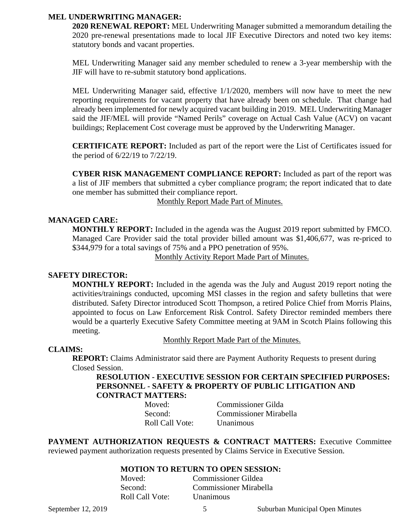## **MEL UNDERWRITING MANAGER:**

**2020 RENEWAL REPORT:** MEL Underwriting Manager submitted a memorandum detailing the 2020 pre-renewal presentations made to local JIF Executive Directors and noted two key items: statutory bonds and vacant properties.

MEL Underwriting Manager said any member scheduled to renew a 3-year membership with the JIF will have to re-submit statutory bond applications.

MEL Underwriting Manager said, effective 1/1/2020, members will now have to meet the new reporting requirements for vacant property that have already been on schedule. That change had already been implemented for newly acquired vacant building in 2019. MEL Underwriting Manager said the JIF/MEL will provide "Named Perils" coverage on Actual Cash Value (ACV) on vacant buildings; Replacement Cost coverage must be approved by the Underwriting Manager.

**CERTIFICATE REPORT:** Included as part of the report were the List of Certificates issued for the period of 6/22/19 to 7/22/19.

**CYBER RISK MANAGEMENT COMPLIANCE REPORT:** Included as part of the report was a list of JIF members that submitted a cyber compliance program; the report indicated that to date one member has submitted their compliance report.

Monthly Report Made Part of Minutes.

## **MANAGED CARE:**

**MONTHLY REPORT:** Included in the agenda was the August 2019 report submitted by FMCO. Managed Care Provider said the total provider billed amount was \$1,406,677, was re-priced to \$344,979 for a total savings of 75% and a PPO penetration of 95%.

Monthly Activity Report Made Part of Minutes.

#### **SAFETY DIRECTOR:**

**MONTHLY REPORT:** Included in the agenda was the July and August 2019 report noting the activities/trainings conducted, upcoming MSI classes in the region and safety bulletins that were distributed. Safety Director introduced Scott Thompson, a retired Police Chief from Morris Plains, appointed to focus on Law Enforcement Risk Control. Safety Director reminded members there would be a quarterly Executive Safety Committee meeting at 9AM in Scotch Plains following this meeting.

Monthly Report Made Part of the Minutes.

### **CLAIMS:**

**REPORT:** Claims Administrator said there are Payment Authority Requests to present during Closed Session.

**RESOLUTION - EXECUTIVE SESSION FOR CERTAIN SPECIFIED PURPOSES: PERSONNEL - SAFETY & PROPERTY OF PUBLIC LITIGATION AND CONTRACT MATTERS:**

> Moved: Commissioner Gilda Second: Commissioner Mirabella Roll Call Vote: Unanimous

**PAYMENT AUTHORIZATION REQUESTS & CONTRACT MATTERS:** Executive Committee reviewed payment authorization requests presented by Claims Service in Executive Session.

## **MOTION TO RETURN TO OPEN SESSION:**

| Moved:                 | Commissioner Gildea    |
|------------------------|------------------------|
| Second:                | Commissioner Mirabella |
| <b>Roll Call Vote:</b> | <b>Unanimous</b>       |